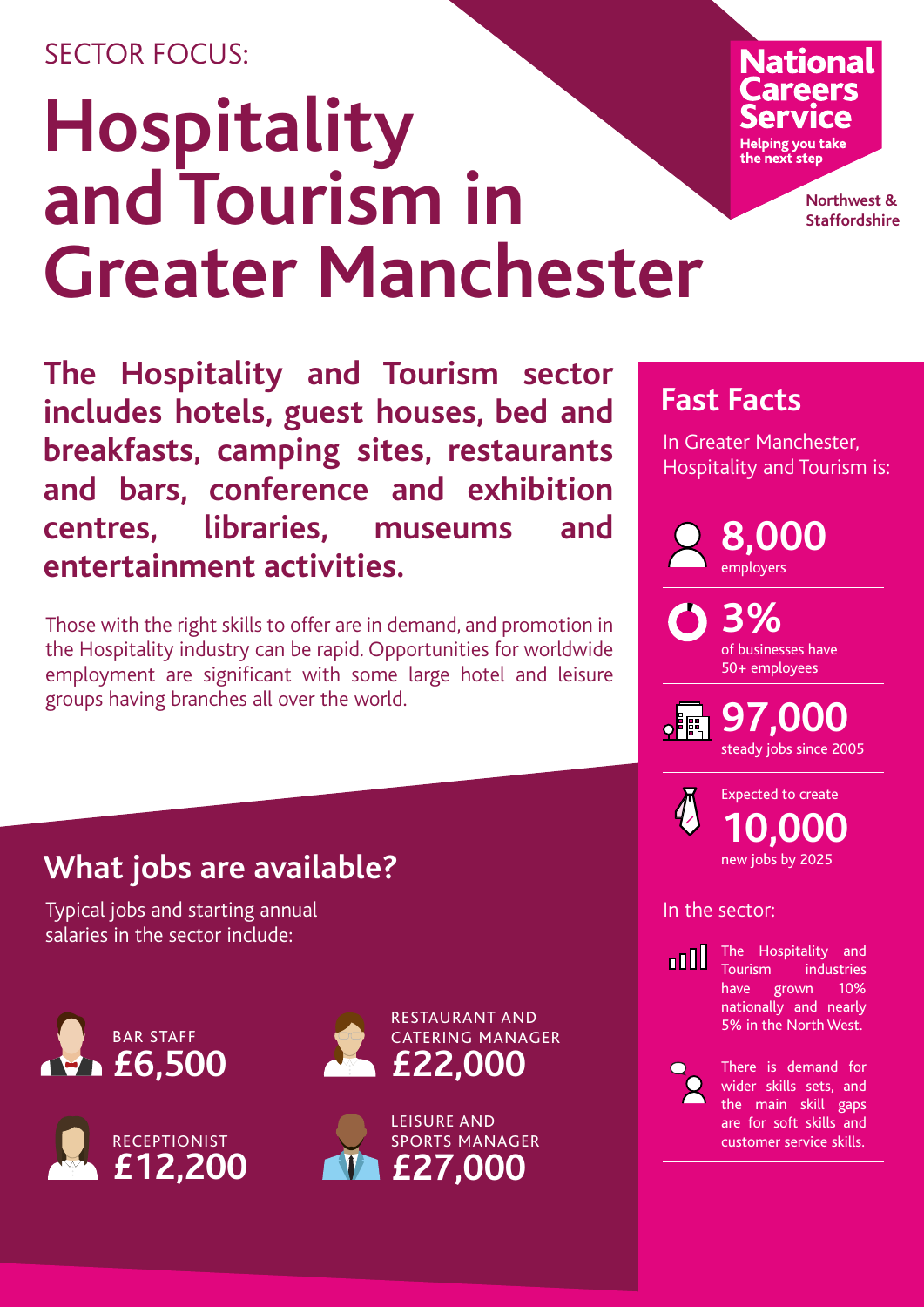### SECTOR FOCUS:

# **Hospitality and Tourism in Greater Manchester**

# National Helping you take the next step

**Northwest & Staffordshire**

**The Hospitality and Tourism sector includes hotels, guest houses, bed and breakfasts, camping sites, restaurants and bars, conference and exhibition centres, libraries, museums and entertainment activities.**

Those with the right skills to offer are in demand, and promotion in the Hospitality industry can be rapid. Opportunities for worldwide employment are significant with some large hotel and leisure groups having branches all over the world.

# **Fast Facts**

In Greater Manchester, Hospitality and Tourism is:



**3%** of businesses have 50+ employees

**97,000** steady jobs since 2005



**10,000** new jobs by 2025 Expected to create

#### In the sector:



The Hospitality and Tourism industries have grown 10% nationally and nearly 5% in the North West.



There is demand for wider skills sets, and the main skill gaps are for soft skills and customer service skills.

# **What jobs are available?**

Typical jobs and starting annual salaries in the sector include: